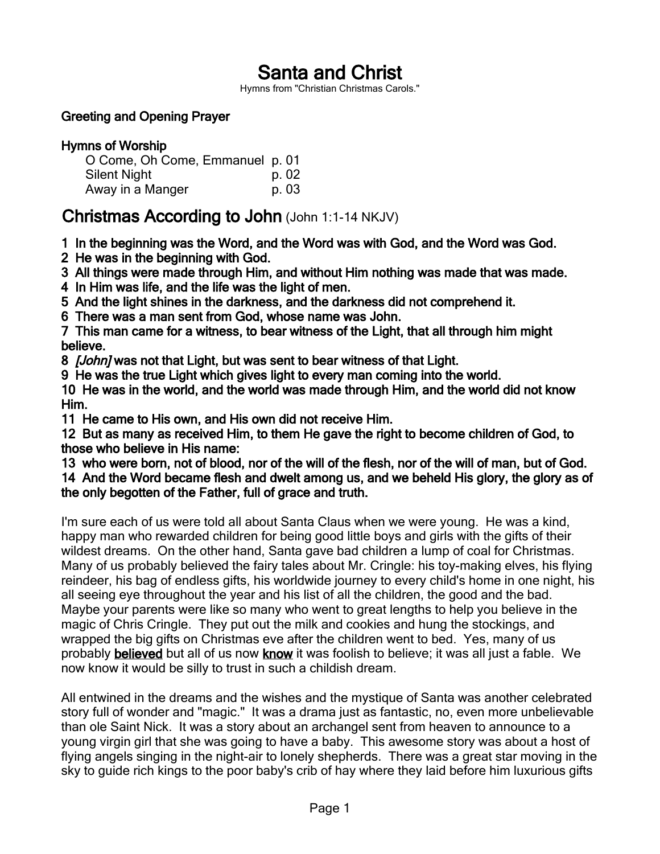# Santa and Christ

Hymns from "Christian Christmas Carols."

# Greeting and Opening Prayer

| <b>Hymns of Worship</b>         |       |
|---------------------------------|-------|
| O Come, Oh Come, Emmanuel p. 01 |       |
| <b>Silent Night</b>             | p. 02 |
| Away in a Manger                | p. 03 |

# Christmas According to John (John 1:1-14 NKJV)

1 In the beginning was the Word, and the Word was with God, and the Word was God.

2 He was in the beginning with God.

3 All things were made through Him, and without Him nothing was made that was made.

4 In Him was life, and the life was the light of men.

5 And the light shines in the darkness, and the darkness did not comprehend it.

6 There was a man sent from God, whose name was John.

7 This man came for a witness, to bear witness of the Light, that all through him might believe.

8 *[John]* was not that Light, but was sent to bear witness of that Light.

9 He was the true Light which gives light to every man coming into the world.

10 He was in the world, and the world was made through Him, and the world did not know Him.

11 He came to His own, and His own did not receive Him.

12 But as many as received Him, to them He gave the right to become children of God, to those who believe in His name:

13 who were born, not of blood, nor of the will of the flesh, nor of the will of man, but of God.

14 And the Word became flesh and dwelt among us, and we beheld His glory, the glory as of the only begotten of the Father, full of grace and truth.

I'm sure each of us were told all about Santa Claus when we were young. He was a kind, happy man who rewarded children for being good little boys and girls with the gifts of their wildest dreams. On the other hand, Santa gave bad children a lump of coal for Christmas. Many of us probably believed the fairy tales about Mr. Cringle: his toy-making elves, his flying reindeer, his bag of endless gifts, his worldwide journey to every child's home in one night, his all seeing eye throughout the year and his list of all the children, the good and the bad. Maybe your parents were like so many who went to great lengths to help you believe in the magic of Chris Cringle. They put out the milk and cookies and hung the stockings, and wrapped the big gifts on Christmas eve after the children went to bed. Yes, many of us probably believed but all of us now know it was foolish to believe; it was all just a fable. We now know it would be silly to trust in such a childish dream.

All entwined in the dreams and the wishes and the mystique of Santa was another celebrated story full of wonder and "magic." It was a drama just as fantastic, no, even more unbelievable than ole Saint Nick. It was a story about an archangel sent from heaven to announce to a young virgin girl that she was going to have a baby. This awesome story was about a host of flying angels singing in the night-air to lonely shepherds. There was a great star moving in the sky to guide rich kings to the poor baby's crib of hay where they laid before him luxurious gifts